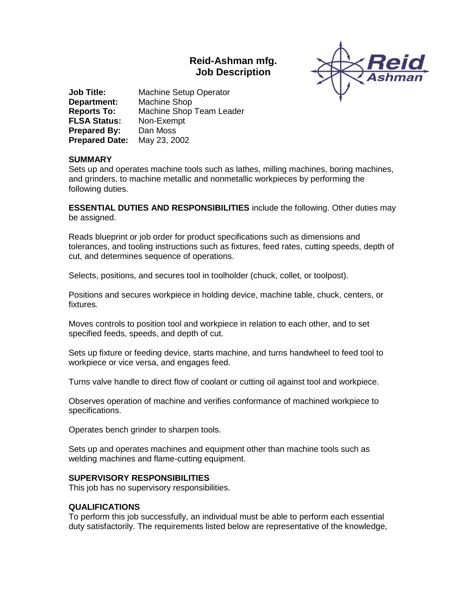# **Reid-Ashman mfg. Job Description**



**Job Title:** Machine Setup Operator **Department:** Machine Shop **Reports To:** Machine Shop Team Leader **FLSA Status:** Non-Exempt **Prepared By:** Dan Moss **Prepared Date:** May 23, 2002

# **SUMMARY**

Sets up and operates machine tools such as lathes, milling machines, boring machines, and grinders, to machine metallic and nonmetallic workpieces by performing the following duties.

**ESSENTIAL DUTIES AND RESPONSIBILITIES** include the following. Other duties may be assigned.

Reads blueprint or job order for product specifications such as dimensions and tolerances, and tooling instructions such as fixtures, feed rates, cutting speeds, depth of cut, and determines sequence of operations.

Selects, positions, and secures tool in toolholder (chuck, collet, or toolpost).

Positions and secures workpiece in holding device, machine table, chuck, centers, or fixtures.

Moves controls to position tool and workpiece in relation to each other, and to set specified feeds, speeds, and depth of cut.

Sets up fixture or feeding device, starts machine, and turns handwheel to feed tool to workpiece or vice versa, and engages feed.

Turns valve handle to direct flow of coolant or cutting oil against tool and workpiece.

Observes operation of machine and verifies conformance of machined workpiece to specifications.

Operates bench grinder to sharpen tools.

Sets up and operates machines and equipment other than machine tools such as welding machines and flame-cutting equipment.

# **SUPERVISORY RESPONSIBILITIES**

This job has no supervisory responsibilities.

# **QUALIFICATIONS**

To perform this job successfully, an individual must be able to perform each essential duty satisfactorily. The requirements listed below are representative of the knowledge,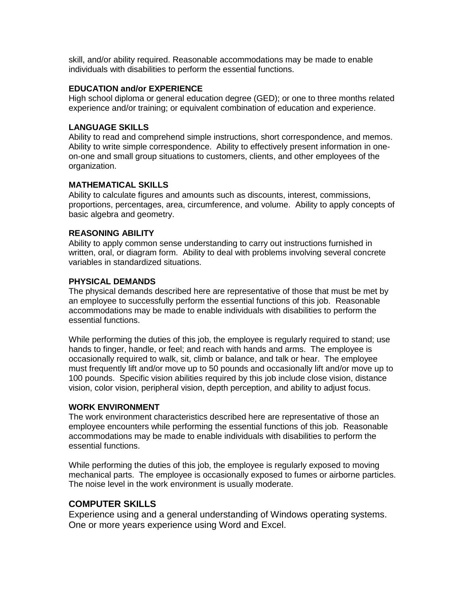skill, and/or ability required. Reasonable accommodations may be made to enable individuals with disabilities to perform the essential functions.

# **EDUCATION and/or EXPERIENCE**

High school diploma or general education degree (GED); or one to three months related experience and/or training; or equivalent combination of education and experience.

# **LANGUAGE SKILLS**

Ability to read and comprehend simple instructions, short correspondence, and memos. Ability to write simple correspondence. Ability to effectively present information in oneon-one and small group situations to customers, clients, and other employees of the organization.

#### **MATHEMATICAL SKILLS**

Ability to calculate figures and amounts such as discounts, interest, commissions, proportions, percentages, area, circumference, and volume. Ability to apply concepts of basic algebra and geometry.

#### **REASONING ABILITY**

Ability to apply common sense understanding to carry out instructions furnished in written, oral, or diagram form. Ability to deal with problems involving several concrete variables in standardized situations.

# **PHYSICAL DEMANDS**

The physical demands described here are representative of those that must be met by an employee to successfully perform the essential functions of this job. Reasonable accommodations may be made to enable individuals with disabilities to perform the essential functions.

While performing the duties of this job, the employee is regularly required to stand; use hands to finger, handle, or feel; and reach with hands and arms. The employee is occasionally required to walk, sit, climb or balance, and talk or hear. The employee must frequently lift and/or move up to 50 pounds and occasionally lift and/or move up to 100 pounds. Specific vision abilities required by this job include close vision, distance vision, color vision, peripheral vision, depth perception, and ability to adjust focus.

#### **WORK ENVIRONMENT**

The work environment characteristics described here are representative of those an employee encounters while performing the essential functions of this job. Reasonable accommodations may be made to enable individuals with disabilities to perform the essential functions.

While performing the duties of this job, the employee is regularly exposed to moving mechanical parts. The employee is occasionally exposed to fumes or airborne particles. The noise level in the work environment is usually moderate.

# **COMPUTER SKILLS**

Experience using and a general understanding of Windows operating systems. One or more years experience using Word and Excel.